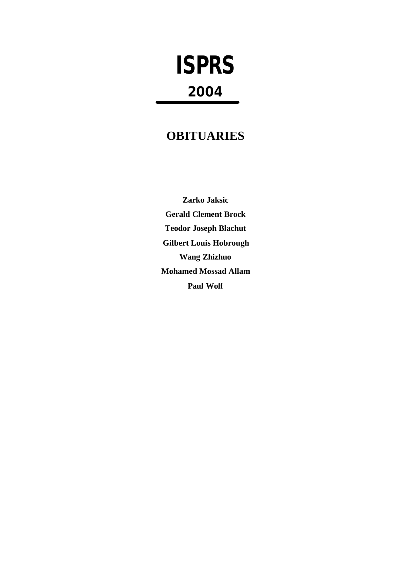# **ISPRS 2004**

## **OBITUARIES**

**Zarko Jaksic Gerald Clement Brock Teodor Joseph Blachut Gilbert Louis Hobrough Wang Zhizhuo Mohamed Mossad Allam Paul Wolf**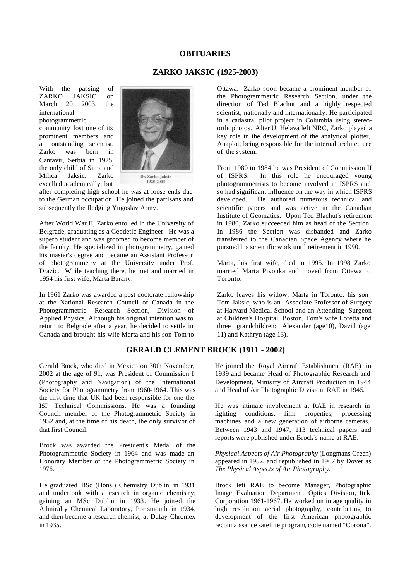#### **OBITUARIES**

#### **ZARKO JAKSIC (1925-2003)**

With the passing of ZARKO JAKSIC on March 20 2003, the international photogrammetric

community lost one of its prominent members and an outstanding scientist. Zarko was born in Cantavir, Serbia in 1925, the only child of Sima and Milica Jaksic. Zarko excelled academically, but



1925-2003

after completing high school he was at loose ends due to the German occupation. He joined the partisans and subsequently the fledging Yugoslav Army.

After World War II, Zarko enrolled in the University of Belgrade, graduating as a Geodetic Engineer. He was a superb student and was groomed to become member of the faculty. He specialized in photogrammetry, gained his master's degree and became an Assistant Professor of photogrammetry at the University under Prof. Drazic. While teaching there, he met and married in 1954 his first wife, Marta Barany.

In 1961 Zarko was awarded a post doctorate fellowship at the National Research Council of Canada in the Photogrammetric Research Section, Division of Applied Physics. Although his original intention was to return to Belgrade after a year, he decided to settle in Canada and brought his wife Marta and his son Tom to

Ottawa. Zarko soon became a prominent member of the Photogrammetric Research Section, under the direction of Ted Blachut and a highly respected scientist, nationally and internationally. He participated in a cadastral pilot project in Columbia using stereoorthophotos. After U. Helava left NRC, Zarko played a key role in the development of the analytical plotter, Anaplot, being responsible for the internal architecture of the system.

From 1980 to 1984 he was President of Commission II of ISPRS. In this role he encouraged young photogrammetrists to become involved in ISPRS and so had significant influence on the way in which ISPRS developed. He authored numerous technical and scientific papers and was active in the Canadian Institute of Geomatics. Upon Ted Blachut's retirement in 1980, Zarko succeeded him as head of the Section. In 1986 the Section was disbanded and Zarko transferred to the Canadian Space Agency where he pursued his scientific work until retirement in 1990.

Marta, his first wife, died in 1995. In 1998 Zarko married Marta Pivonka and moved from Ottawa to Toronto.

Zarko leaves his widow, Marta in Toronto, his son Tom Jaksic, who is an Associate Professor of Surgery at Harvard Medical School and an Attending Surgeon at Children's Hospital, Boston, Tom's wife Loretta and three grandchildren: Alexander (age10), David (age 11) and Kathryn (age 13).

### **GERALD CLEMENT BROCK (1911 - 2002)**

Gerald Brock, who died in Mexico on 30th November, 2002 at the age of 91, was President of Commission I (Photography and Navigation) of the International Society for Photogrammetry from 1960-1964. This was the first time that UK had been responsible for one the ISP Technical Commissions. He was a founding Council member of the Photogrammetric Society in 1952 and, at the time of his death, the only survivor of that first Council.

Brock was awarded the President's Medal of the Photogrammetric Society in 1964 and was made an Honorary Member of the Photogrammetric Society in 1976.

He graduated BSc (Hons.) Chemistry Dublin in 1931 and undertook with a research in organic chemistry; gaining an MSc Dublin in 1933. He joined the Admiralty Chemical Laboratory, Portsmouth in 1934, and then became a research chemist, at Dufay-Chromex in 1935.

He joined the Royal Aircraft Establishment (RAE) in 1939 and became Head of Photographic Research and Development, Ministry of Aircraft Production in 1944 and Head of Air Photographic Division, RAE in 1945.

He was intimate involvement at RAE in research in lighting conditions, film properties, processing machines and a new generation of airborne cameras. Between 1943 and 1947, 113 technical papers and reports were published under Brock's name at RAE.

*Physical Aspects of Air Photography* (Longmans Green) appeared in 1952, and republished in 1967 by Dover as *The Physical Aspects of Air Photography.* 

Brock left RAE to become Manager, Photographic Image Evaluation Department, Optics Division, Itek Corporation 1961-1967. He worked on image quality in high resolution aerial photography, contributing to development of the first American photographic reconnaissance satellite program, code named "Corona".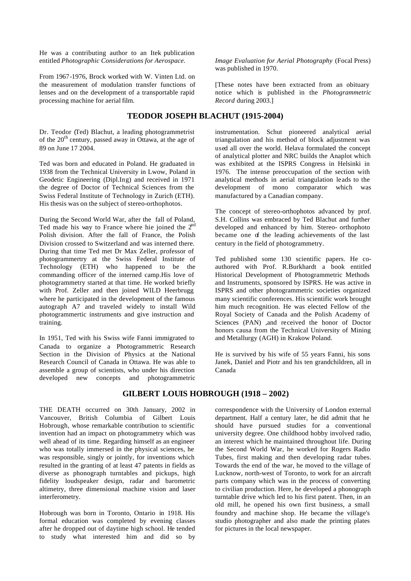He was a contributing author to an Itek publication entitled *Photographic Considerations for Aerospace.* 

From 1967-1976, Brock worked with W. Vinten Ltd. on the measurement of modulation transfer functions of lenses and on the development of a transportable rapid processing machine for aerial film.

#### **TEODOR JOSEPH BLACHUT (1915-2004)**

Dr. Teodor (Ted) Blachut, a leading photogrammetrist of the 20<sup>th</sup> century, passed away in Ottawa, at the age of 89 on June 17 2004.

Ted was born and educated in Poland. He graduated in 1938 from the Technical University in Lwow, Poland in Geodetic Engineering (Dipl.Ing) and received in 1971 the degree of Doctor of Technical Sciences from the Swiss Federal Institute of Technology in Zurich (ETH). His thesis was on the subject of stereo-orthophotos.

During the Second World War, after the fall of Poland, Ted made his way to France where hie joined the  $2<sup>nd</sup>$ Polish division. After the fall of France, the Polish Division crossed to Switzerland and was interned there. During that time Ted met Dr Max Zeller, professor of photogrammertry at the Swiss Federal Institute of Technology (ETH) who happened to be the commanding officer of the interned camp.His love of photogrammetry started at that time. He worked briefly with Prof. Zeller and then joined WILD Heerbrugg where he participated in the development of the famous autograph A7 and traveled widely to install Wild photogrammertic instruments and give instruction and training.

In 1951, Ted with his Swiss wife Fanni immigrated to Canada to organize a Photogrammetric Research Section in the Division of Physics at the National Research Council of Canada in Ottawa. He was able to assemble a group of scientists, who under his direction developed new concepts and photogrammetric *Image Evaluation for Aerial Photography* (Focal Press) was published in 1970.

[These notes have been extracted from an obituary notice which is published in the *Photogrammetric Record* during 2003.]

instrumentation. Schut pioneered analytical aerial triangulation and his method of block adjustment was used all over the world. Helava formulated the concept of analytical plotter and NRC builds the Anaplot which was exhibited at the ISPRS Congress in Helsinki in 1976. The intense preoccupation of the section with analytical methods in aerial triangulation leads to the development of mono comparator which was manufactured by a Canadian company.

The concept of stereo-orthophotos advanced by prof. S.H. Collins was embraced by Ted Blachut and further developed and enhanced by him. Stereo- orthophoto became one of the leading achievements of the last century in the field of photogrammetry.

Ted published some 130 scientific papers. He coauthored with Prof. R.Burkhardt a book entitled Historical Development of Photogrammetric Methods and Instruments, sponsored by ISPRS. He was active in ISPRS and other photogrammetric societies organized many scientific conferences. His scientific work brought him much recognition. He was elected Fellow of the Royal Society of Canada and the Polish Academy of Sciences (PAN) ,and received the honor of Doctor honors causa from the Technical University of Mining and Metallurgy (AGH) in Krakow Poland.

He is survived by his wife of 55 years Fanni, his sons Janek, Daniel and Piotr and his ten grandchildren, all in Canada

### **GILBERT LOUIS HOBROUGH (1918 – 2002)**

THE DEATH occurred on 30th January, 2002 in Vancouver, British Columbia of Gilbert Louis Hobrough, whose remarkable contribution to scientific invention had an impact on photogrammetry which was well ahead of its time. Regarding himself as an engineer who was totally immersed in the physical sciences, he was responsible, singly or jointly, for inventions which resulted in the granting of at least 47 patents in fields as diverse as phonograph turntables and pickups, high fidelity loudspeaker design, radar and barometric altimetry, three dimensional machine vision and laser interferometry.

Hobrough was born in Toronto, Ontario in 1918. His formal education was completed by evening classes after he dropped out of daytime high school. He tended to study what interested him and did so by correspondence with the University of London external department. Half a century later, he did admit that he should have pursued studies for a conventional university degree. One childhood hobby involved radio, an interest which he maintained throughout life. During the Second World War, he worked for Rogers Radio Tubes, first making and then developing radar tubes. Towards the end of the war, he moved to the village of Lucknow, north-west of Toronto, to work for an aircraft parts company which was in the process of converting to civilian production. Here, he developed a phonograph turntable drive which led to his first patent. Then, in an old mill, he opened his own first business, a small foundry and machine shop. He became the village's studio photographer and also made the printing plates for pictures in the local newspaper.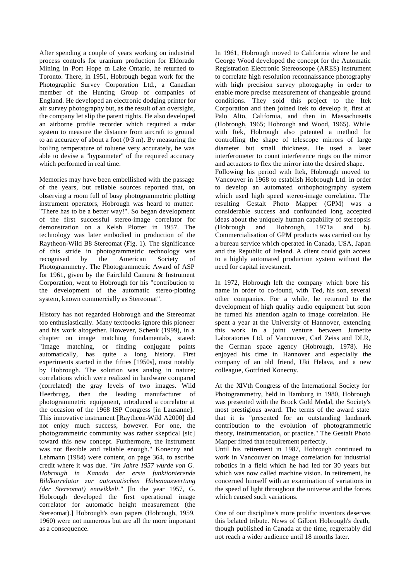After spending a couple of years working on industrial process controls for uranium production for Eldorado Mining in Port Hope on Lake Ontario, he returned to Toronto. There, in 1951, Hobrough began work for the Photographic Survey Corporation Ltd., a Canadian member of the Hunting Group of companies of England. He developed an electronic dodging printer for air survey photography but, as the result of an oversight, the company let slip the patent rights. He also developed an airborne profile recorder which required a radar system to measure the distance from aircraft to ground to an accuracy of about a foot  $(0.3 \text{ m})$ . By measuring the boiling temperature of toluene very accurately, he was able to devise a "hypsometer" of the required accuracy which performed in real time.

Memories may have been embellished with the passage of the years, but reliable sources reported that, on observing a room full of busy photogrammetric plotting instrument operators, Hobrough was heard to mutter: "There has to be a better way!". So began development of the first successful stereo-image correlator for demonstration on a Kelsh Plotter in 1957. The technology was later embodied in production of the Raytheon-Wild B8 Stereomat (Fig. 1). The significance of this stride in photogrammetric technology was recognised by the American Society of Photogrammetry. The Photogrammetric Award of ASP for 1961, given by the Fairchild Camera & Instrument Corporation, went to Hobrough for his "contribution to the development of the automatic stereo-plotting system, known commercially as Stereomat".

History has not regarded Hobrough and the Stereomat too enthusiastically. Many textbooks ignore this pioneer and his work altogether. However, Schenk (1999), in a chapter on image matching fundamentals, stated: "Image matching, or finding conjugate points automatically, has quite a long history. First experiments started in the fifties [1950s], most notably by Hobrough. The solution was analog in nature; correlations which were realized in hardware compared (correlated) the gray levels of two images. Wild Heerbrugg, then the leading manufacturer of photogrammetric equipment, introduced a correlator at the occasion of the 1968 ISP Congress [in Lausanne]. This innovative instrument [Raytheon-Wild A2000] did not enjoy much success, however. For one, the photogrammetric community was rather skeptical [sic] toward this new concept. Furthermore, the instrument was not flexible and reliable enough." Konecny and Lehmann (1984) were content, on page 364, to ascribe credit where it was due. *"Im Jahre 1957 wurde von G. Hobrough in Kanada der erste funktionierende Bildkorrelator zur automatischen Höhenauswertung (der Stereomat) entwikkelt."* [In the year 1957, G. Hobrough developed the first operational image correlator for automatic height measurement (the Stereomat).] Hobrough's own papers (Hobrough, 1959, 1960) were not numerous but are all the more important as a consequence.

In 1961, Hobrough moved to California where he and George Wood developed the concept for the Automatic Registration Electronic Stereoscope (ARES) instrument to correlate high resolution reconnaissance photography with high precision survey photography in order to enable more precise measurement of changeable ground conditions. They sold this project to the Itek Corporation and then joined Itek to develop it, first at Palo Alto, California, and then in Massachusetts (Hobrough, 1965; Hobrough and Wood, 1965). While with Itek, Hobrough also patented a method for controlling the shape of telescope mirrors of large diameter but small thickness. He used a laser interferometer to count interference rings on the mirror and actuators to flex the mirror into the desired shape. Following his period with Itek, Hobrough moved to Vancouver in 1968 to establish Hobrough Ltd. in order to develop an automated orthophotography system which used high speed stereo-image correlation. The resulting Gestalt Photo Mapper (GPM) was a considerable success and confounded long accepted ideas about the uniquely human capability of stereopsis (Hobrough and Hobrough, 1971a and b). Commercialisation of GPM products was carried out by a bureau service which operated in Canada, USA, Japan and the Republic of Ireland. A client could gain access to a highly automated production system without the need for capital investment.

In 1972, Hobrough left the company which bore his name in order to co-found, with Ted, his son, several other companies. For a while, he returned to the development of high quality audio equipment but soon he turned his attention again to image correlation. He spent a year at the University of Hannover, extending this work in a joint venture between Jumetite Laboratories Ltd. of Vancouver, Carl Zeiss and DLR, the German space agency (Hobrough, 1978). He enjoyed his time in Hannover and especially the company of an old friend, Uki Helava, and a new colleague, Gottfried Konecny.

At the XIVth Congress of the International Society for Photogrammetry, held in Hamburg in 1980, Hobrough was presented with the Brock Gold Medal, the Society's most prestigious award. The terms of the award state that it is "presented for an outstanding landmark contribution to the evolution of photogrammetric theory, instrumentation, or practice." The Gestalt Photo Mapper fitted that requirement perfectly.

Until his retirement in 1987, Hobrough continued to work in Vancouver on image correlation for industrial robotics in a field which he had led for 30 years but which was now called machine vision. In retirement, he concerned himself with an examination of variations in the speed of light throughout the universe and the forces which caused such variations.

One of our discipline's more prolific inventors deserves this belated tribute. News of Gilbert Hobrough's death, though published in Canada at the time, regrettably did not reach a wider audience until 18 months later.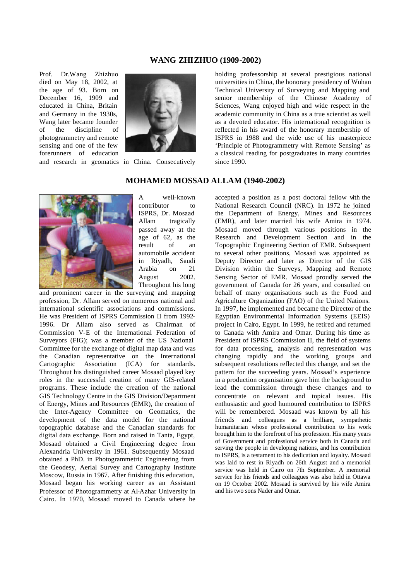#### **WANG ZHIZHUO (1909-2002)**

Prof. Dr.Wang Zhizhuo died on May 18, 2002, at the age of 93. Born on December 16, 1909 and educated in China, Britain and Germany in the 1930s, Wang later became founder of the discipline of photogrammetry and remote sensing and one of the few forerunners of education and research in geomatics in China. Consecutively



holding professorship at several prestigious national universities in China, the honorary presidency of Wuhan Technical University of Surveying and Mapping and senior membership of the Chinese Academy of Sciences, Wang enjoyed high and wide respect in the academic community in China as a true scientist as well as a devoted educator. His international recognition is reflected in his award of the honorary membership of ISPRS in 1988 and the wide use of his masterpiece 'Principle of Photogrammetry with Remote Sensing' as a classical reading for postgraduates in many countries since 1990.

#### **MOHAMED MOSSAD ALLAM (1940-2002)**



A well-known contributor to ISPRS, Dr. Mosaad Allam tragically passed away at the age of 62, as the result of an automobile accident in Riyadh, Saudi Arabia on 21 August 2002. Throughout his long

and prominent career in the surveying and mapping profession, Dr. Allam served on numerous national and international scientific associations and commissions. He was President of ISPRS Commission II from 1992- 1996. Dr Allam also served as Chairman of Commission V-E of the International Federation of Surveyors (FIG); was a member of the US National Committee for the exchange of digital map data and was the Canadian representative on the International Cartographic Association (ICA) for standards. Throughout his distinguished career Mosaad played key roles in the successful creation of many GIS-related programs. These include the creation of the national GIS Technology Centre in the GIS Division/Department of Energy, Mines and Resources (EMR), the creation of the Inter-Agency Committee on Geomatics, the development of the data model for the national topographic database and the Canadian standards for digital data exchange. Born and raised in Tanta, Egypt, Mosaad obtained a Civil Engineering degree from Alexandria University in 1961. Subsequently Mosaad obtained a PhD. in Photogrammetric Engineering from the Geodesy, Aerial Survey and Cartography Institute Moscow, Russia in 1967. After finishing this education, Mosaad began his working career as an Assistant Professor of Photogrammetry at Al-Azhar University in Cairo. In 1970, Mosaad moved to Canada where he

accepted a position as a post doctoral fellow with the National Research Council (NRC). In 1972 he joined the Department of Energy, Mines and Resources (EMR), and later married his wife Amira in 1974. Mosaad moved through various positions in the Research and Development Section and in the Topographic Engineering Section of EMR. Subsequent to several other positions, Mosaad was appointed as Deputy Director and later as Director of the GIS Division within the Surveys, Mapping and Remote Sensing Sector of EMR. Mosaad proudly served the government of Canada for 26 years, and consulted on behalf of many organisations such as the Food and Agriculture Organization (FAO) of the United Nations. In 1997, he implemented and became the Director of the Egyptian Environmental Information Systems (EEIS) project in Cairo, Egypt. In 1999, he retired and returned to Canada with Amira and Omar. During his time as President of ISPRS Commission II, the field of systems for data processing, analysis and representation was changing rapidly and the working groups and subsequent resolutions reflected this change, and set the pattern for the succeeding years. Mosaad's experience in a production organisation gave him the background to lead the commission through these changes and to concentrate on relevant and topical issues. His enthusiastic and good humoured contribution to ISPRS will be remembered. Mosaad was known by all his friends and colleagues as a brilliant, sympathetic humanitarian whose professional contribution to his work brought him to the forefront of his profession. His many years of Government and professional service both in Canada and serving the people in developing nations, and his contribution to ISPRS, is a testament to his dedication and loyalty. Mosaad was laid to rest in Riyadh on 26th August and a memorial service was held in Cairo on 7th September. A memorial service for his friends and colleagues was also held in Ottawa on 19 October 2002. Mosaad is survived by his wife Amira and his two sons Nader and Omar.